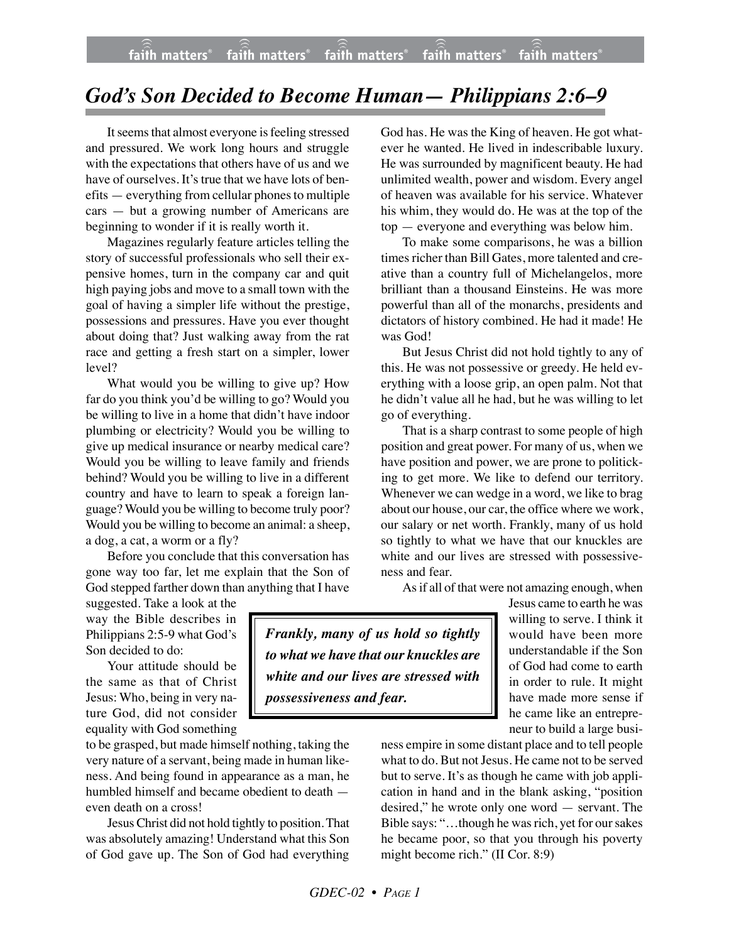## *God's Son Decided to Become Human— Philippians 2:6–9*

It seems that almost everyone is feeling stressed and pressured. We work long hours and struggle with the expectations that others have of us and we have of ourselves. It's true that we have lots of benefits — everything from cellular phones to multiple cars — but a growing number of Americans are beginning to wonder if it is really worth it.

Magazines regularly feature articles telling the story of successful professionals who sell their expensive homes, turn in the company car and quit high paying jobs and move to a small town with the goal of having a simpler life without the prestige, possessions and pressures. Have you ever thought about doing that? Just walking away from the rat race and getting a fresh start on a simpler, lower level?

What would you be willing to give up? How far do you think you'd be willing to go? Would you be willing to live in a home that didn't have indoor plumbing or electricity? Would you be willing to give up medical insurance or nearby medical care? Would you be willing to leave family and friends behind? Would you be willing to live in a different country and have to learn to speak a foreign language? Would you be willing to become truly poor? Would you be willing to become an animal: a sheep, a dog, a cat, a worm or a fly?

Before you conclude that this conversation has gone way too far, let me explain that the Son of God stepped farther down than anything that I have

suggested. Take a look at the way the Bible describes in Philippians 2:5-9 what God's Son decided to do:

Your attitude should be the same as that of Christ Jesus: Who, being in very nature God, did not consider equality with God something

to be grasped, but made himself nothing, taking the very nature of a servant, being made in human likeness. And being found in appearance as a man, he humbled himself and became obedient to death even death on a cross!

Jesus Christ did not hold tightly to position. That was absolutely amazing! Understand what this Son of God gave up. The Son of God had everything

God has. He was the King of heaven. He got whatever he wanted. He lived in indescribable luxury. He was surrounded by magnificent beauty. He had unlimited wealth, power and wisdom. Every angel of heaven was available for his service. Whatever his whim, they would do. He was at the top of the top — everyone and everything was below him.

To make some comparisons, he was a billion times richer than Bill Gates, more talented and creative than a country full of Michelangelos, more brilliant than a thousand Einsteins. He was more powerful than all of the monarchs, presidents and dictators of history combined. He had it made! He was God!

But Jesus Christ did not hold tightly to any of this. He was not possessive or greedy. He held everything with a loose grip, an open palm. Not that he didn't value all he had, but he was willing to let go of everything.

That is a sharp contrast to some people of high position and great power. For many of us, when we have position and power, we are prone to politicking to get more. We like to defend our territory. Whenever we can wedge in a word, we like to brag about our house, our car, the office where we work, our salary or net worth. Frankly, many of us hold so tightly to what we have that our knuckles are white and our lives are stressed with possessiveness and fear.

As if all of that were not amazing enough, when

*Frankly, many of us hold so tightly to what we have that our knuckles are white and our lives are stressed with possessiveness and fear.*

Jesus came to earth he was willing to serve. I think it would have been more understandable if the Son of God had come to earth in order to rule. It might have made more sense if he came like an entrepreneur to build a large busi-

ness empire in some distant place and to tell people what to do. But not Jesus. He came not to be served but to serve. It's as though he came with job application in hand and in the blank asking, "position desired," he wrote only one word — servant. The Bible says: "…though he was rich, yet for our sakes he became poor, so that you through his poverty might become rich." (II Cor. 8:9)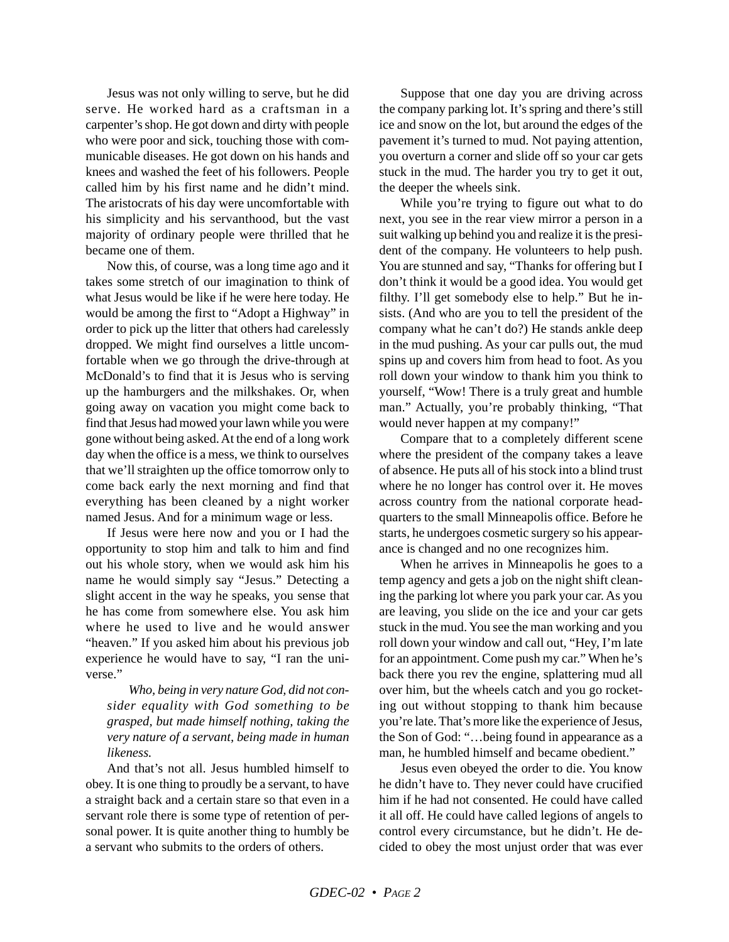Jesus was not only willing to serve, but he did serve. He worked hard as a craftsman in a carpenter's shop. He got down and dirty with people who were poor and sick, touching those with communicable diseases. He got down on his hands and knees and washed the feet of his followers. People called him by his first name and he didn't mind. The aristocrats of his day were uncomfortable with his simplicity and his servanthood, but the vast majority of ordinary people were thrilled that he became one of them.

Now this, of course, was a long time ago and it takes some stretch of our imagination to think of what Jesus would be like if he were here today. He would be among the first to "Adopt a Highway" in order to pick up the litter that others had carelessly dropped. We might find ourselves a little uncomfortable when we go through the drive-through at McDonald's to find that it is Jesus who is serving up the hamburgers and the milkshakes. Or, when going away on vacation you might come back to find that Jesus had mowed your lawn while you were gone without being asked. At the end of a long work day when the office is a mess, we think to ourselves that we'll straighten up the office tomorrow only to come back early the next morning and find that everything has been cleaned by a night worker named Jesus. And for a minimum wage or less.

If Jesus were here now and you or I had the opportunity to stop him and talk to him and find out his whole story, when we would ask him his name he would simply say "Jesus." Detecting a slight accent in the way he speaks, you sense that he has come from somewhere else. You ask him where he used to live and he would answer "heaven." If you asked him about his previous job experience he would have to say, "I ran the universe."

*Who, being in very nature God, did not consider equality with God something to be grasped, but made himself nothing, taking the very nature of a servant, being made in human likeness.*

And that's not all. Jesus humbled himself to obey. It is one thing to proudly be a servant, to have a straight back and a certain stare so that even in a servant role there is some type of retention of personal power. It is quite another thing to humbly be a servant who submits to the orders of others.

Suppose that one day you are driving across the company parking lot. It's spring and there's still ice and snow on the lot, but around the edges of the pavement it's turned to mud. Not paying attention, you overturn a corner and slide off so your car gets stuck in the mud. The harder you try to get it out, the deeper the wheels sink.

While you're trying to figure out what to do next, you see in the rear view mirror a person in a suit walking up behind you and realize it is the president of the company. He volunteers to help push. You are stunned and say, "Thanks for offering but I don't think it would be a good idea. You would get filthy. I'll get somebody else to help." But he insists. (And who are you to tell the president of the company what he can't do?) He stands ankle deep in the mud pushing. As your car pulls out, the mud spins up and covers him from head to foot. As you roll down your window to thank him you think to yourself, "Wow! There is a truly great and humble man." Actually, you're probably thinking, "That would never happen at my company!"

Compare that to a completely different scene where the president of the company takes a leave of absence. He puts all of his stock into a blind trust where he no longer has control over it. He moves across country from the national corporate headquarters to the small Minneapolis office. Before he starts, he undergoes cosmetic surgery so his appearance is changed and no one recognizes him.

When he arrives in Minneapolis he goes to a temp agency and gets a job on the night shift cleaning the parking lot where you park your car. As you are leaving, you slide on the ice and your car gets stuck in the mud. You see the man working and you roll down your window and call out, "Hey, I'm late for an appointment. Come push my car." When he's back there you rev the engine, splattering mud all over him, but the wheels catch and you go rocketing out without stopping to thank him because you're late. That's more like the experience of Jesus, the Son of God: "…being found in appearance as a man, he humbled himself and became obedient."

Jesus even obeyed the order to die. You know he didn't have to. They never could have crucified him if he had not consented. He could have called it all off. He could have called legions of angels to control every circumstance, but he didn't. He decided to obey the most unjust order that was ever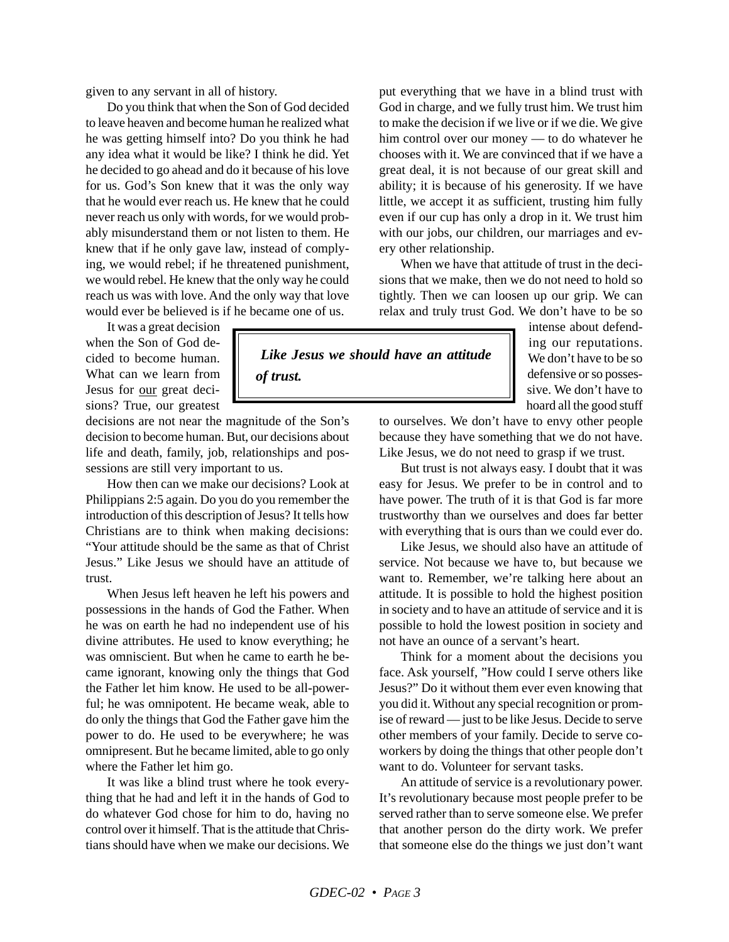given to any servant in all of history.

Do you think that when the Son of God decided to leave heaven and become human he realized what he was getting himself into? Do you think he had any idea what it would be like? I think he did. Yet he decided to go ahead and do it because of his love for us. God's Son knew that it was the only way that he would ever reach us. He knew that he could never reach us only with words, for we would probably misunderstand them or not listen to them. He knew that if he only gave law, instead of complying, we would rebel; if he threatened punishment, we would rebel. He knew that the only way he could reach us was with love. And the only way that love would ever be believed is if he became one of us.

It was a great decision when the Son of God decided to become human. What can we learn from Jesus for our great decisions? True, our greatest

decisions are not near the magnitude of the Son's decision to become human. But, our decisions about life and death, family, job, relationships and possessions are still very important to us.

*of trust.*

How then can we make our decisions? Look at Philippians 2:5 again. Do you do you remember the introduction of this description of Jesus? It tells how Christians are to think when making decisions: "Your attitude should be the same as that of Christ Jesus." Like Jesus we should have an attitude of trust.

When Jesus left heaven he left his powers and possessions in the hands of God the Father. When he was on earth he had no independent use of his divine attributes. He used to know everything; he was omniscient. But when he came to earth he became ignorant, knowing only the things that God the Father let him know. He used to be all-powerful; he was omnipotent. He became weak, able to do only the things that God the Father gave him the power to do. He used to be everywhere; he was omnipresent. But he became limited, able to go only where the Father let him go.

It was like a blind trust where he took everything that he had and left it in the hands of God to do whatever God chose for him to do, having no control over it himself. That is the attitude that Christians should have when we make our decisions. We put everything that we have in a blind trust with God in charge, and we fully trust him. We trust him to make the decision if we live or if we die. We give him control over our money — to do whatever he chooses with it. We are convinced that if we have a great deal, it is not because of our great skill and ability; it is because of his generosity. If we have little, we accept it as sufficient, trusting him fully even if our cup has only a drop in it. We trust him with our jobs, our children, our marriages and every other relationship.

When we have that attitude of trust in the decisions that we make, then we do not need to hold so tightly. Then we can loosen up our grip. We can relax and truly trust God. We don't have to be so

> intense about defending our reputations. We don't have to be so defensive or so possessive. We don't have to hoard all the good stuff

to ourselves. We don't have to envy other people because they have something that we do not have. Like Jesus, we do not need to grasp if we trust.

But trust is not always easy. I doubt that it was easy for Jesus. We prefer to be in control and to have power. The truth of it is that God is far more trustworthy than we ourselves and does far better with everything that is ours than we could ever do.

Like Jesus, we should also have an attitude of service. Not because we have to, but because we want to. Remember, we're talking here about an attitude. It is possible to hold the highest position in society and to have an attitude of service and it is possible to hold the lowest position in society and not have an ounce of a servant's heart.

Think for a moment about the decisions you face. Ask yourself, "How could I serve others like Jesus?" Do it without them ever even knowing that you did it. Without any special recognition or promise of reward — just to be like Jesus. Decide to serve other members of your family. Decide to serve coworkers by doing the things that other people don't want to do. Volunteer for servant tasks.

An attitude of service is a revolutionary power. It's revolutionary because most people prefer to be served rather than to serve someone else. We prefer that another person do the dirty work. We prefer that someone else do the things we just don't want

## *Like Jesus we should have an attitude*